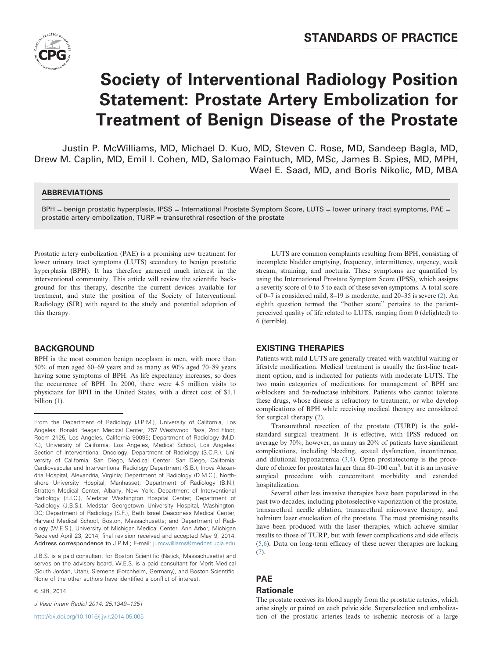

# **Society of Interventional Radiology Position Statement: Prostate Artery Embolization for Treatment of Benign Disease of the Prostate**

Justin P. McWilliams, MD, Michael D. Kuo, MD, Steven C. Rose, MD, Sandeep Bagla, MD, Drew M. Caplin, MD, Emil I. Cohen, MD, Salomao Faintuch, MD, MSc, James B. Spies, MD, MPH, Wael E. Saad, MD, and Boris Nikolic, MD, MBA

## ABBREVIATIONS

BPH = benign prostatic hyperplasia, IPSS = International Prostate Symptom Score, LUTS = lower urinary tract symptoms, PAE = prostatic artery embolization, TURP = transurethral resection of the prostate

Prostatic artery embolization (PAE) is a promising new treatment for lower urinary tract symptoms (LUTS) secondary to benign prostatic hyperplasia (BPH). It has therefore garnered much interest in the interventional community. This article will review the scientific background for this therapy, describe the current devices available for treatment, and state the position of the Society of Interventional Radiology (SIR) with regard to the study and potential adoption of this therapy.

## BACKGROUND

BPH is the most common benign neoplasm in men, with more than 50% of men aged 60–69 years and as many as 90% aged 70–89 years having some symptoms of BPH. As life expectancy increases, so does the occurrence of BPH. In 2000, there were 4.5 million visits to physicians for BPH in the United States, with a direct cost of \$1.1 billion ([1\)](#page-2-0).

J.B.S. is a paid consultant for Boston Scientific (Natick, Massachusetts) and serves on the advisory board. W.E.S. is a paid consultant for Merit Medical (South Jordan, Utah), Siemens (Forchheim, Germany), and Boston Scientific. None of the other authors have identified a conflict of interest.

& SIR, 2014

J Vasc Interv Radiol 2014; 25:1349–1351

[http://dx.doi.org/10.1016/j.jvir.2014.05.005](dx.doi.org/10.1016/j.jvir.2014.05.005)

LUTS are common complaints resulting from BPH, consisting of incomplete bladder emptying, frequency, intermittency, urgency, weak stream, straining, and nocturia. These symptoms are quantified by using the International Prostate Symptom Score (IPSS), which assigns a severity score of 0 to 5 to each of these seven symptoms. A total score of 0–7 is considered mild, 8–19 is moderate, and 20–35 is severe [\(2](#page-2-0)). An eighth question termed the "bother score" pertains to the patientperceived quality of life related to LUTS, ranging from 0 (delighted) to 6 (terrible).

## EXISTING THERAPIES

Patients with mild LUTS are generally treated with watchful waiting or lifestyle modification. Medical treatment is usually the first-line treatment option, and is indicated for patients with moderate LUTS. The two main categories of medications for management of BPH are α-blockers and 5α-reductase inhibitors. Patients who cannot tolerate these drugs, whose disease is refractory to treatment, or who develop complications of BPH while receiving medical therapy are considered for surgical therapy [\(2](#page-2-0)).

Transurethral resection of the prostate (TURP) is the goldstandard surgical treatment. It is effective, with IPSS reduced on average by 70%; however, as many as 20% of patients have significant complications, including bleeding, sexual dysfunction, incontinence, and dilutional hyponatremia [\(3,4\)](#page-2-0). Open prostatectomy is the procedure of choice for prostates larger than  $80-100 \text{ cm}^3$ , but it is an invasive surgical procedure with concomitant morbidity and extended hospitalization.

Several other less invasive therapies have been popularized in the past two decades, including photoselective vaporization of the prostate, transurethral needle ablation, transurethral microwave therapy, and holmium laser enucleation of the prostate. The most promising results have been produced with the laser therapies, which achieve similar results to those of TURP, but with fewer complications and side effects [\(5,6](#page-2-0)). Data on long-term efficacy of these newer therapies are lacking [\(7](#page-2-0)).

## PAE Rationale

The prostate receives its blood supply from the prostatic arteries, which arise singly or paired on each pelvic side. Superselection and embolization of the prostatic arteries leads to ischemic necrosis of a large

From the Department of Radiology (J.P.M.), University of California, Los Angeles, Ronald Reagan Medical Center, 757 Westwood Plaza, 2nd Floor, Room 2125, Los Angeles, California 90095; Department of Radiology (M.D. K.), University of California, Los Angeles, Medical School, Los Angeles; Section of Interventional Oncology, Department of Radiology (S.C.R.), University of California, San Diego, Medical Center, San Diego, California; Cardiovascular and Interventional Radiology Department (S.B.), Inova Alexandria Hospital, Alexandria, Virginia; Department of Radiology (D.M.C.), Northshore University Hospital, Manhasset; Department of Radiology (B.N.), Stratton Medical Center, Albany, New York; Department of Interventional Radiology (E.I.C.), Medstar Washington Hospital Center; Department of Radiology (J.B.S.), Medstar Georgetown University Hospital, Washington, DC; Department of Radiology (S.F.), Beth Israel Deaconess Medical Center, Harvard Medical School, Boston, Massachusetts; and Department of Radiology (W.E.S.), University of Michigan Medical Center, Ann Arbor, Michigan Received April 23, 2014; final revision received and accepted May 9, 2014. Address correspondence to J.P.M.; E-mail: [jumcwilliams@mednet.ucla.edu](mailto:jumcwilliams@mednet.ucla.edu)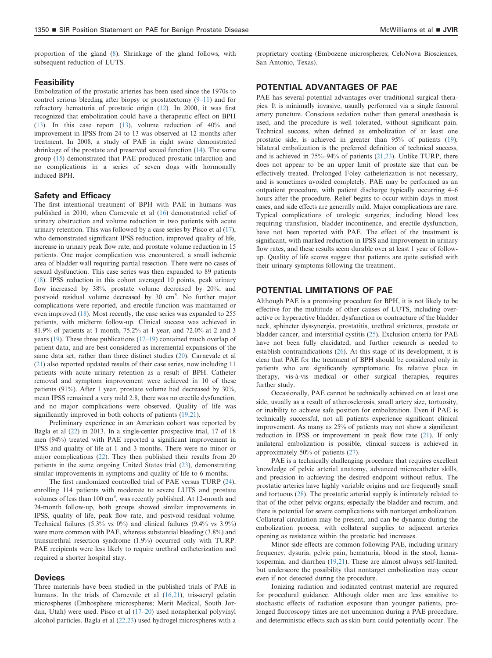proportion of the gland ([8\)](#page-2-0). Shrinkage of the gland follows, with subsequent reduction of LUTS.

#### Feasibility

Embolization of the prostatic arteries has been used since the 1970s to control serious bleeding after biopsy or prostatectomy (9–[11](#page-2-0)) and for refractory hematuria of prostatic origin ([12\)](#page-2-0). In 2000, it was first recognized that embolization could have a therapeutic effect on BPH [\(13](#page-2-0)). In this case report ([13\)](#page-2-0), volume reduction of 40% and improvement in IPSS from 24 to 13 was observed at 12 months after treatment. In 2008, a study of PAE in eight swine demonstrated shrinkage of the prostate and preserved sexual function ([14\)](#page-2-0). The same group [\(15](#page-2-0)) demonstrated that PAE produced prostatic infarction and no complications in a series of seven dogs with hormonally induced BPH.

#### Safety and Efficacy

The first intentional treatment of BPH with PAE in humans was published in 2010, when Carnevale et al ([16\)](#page-2-0) demonstrated relief of urinary obstruction and volume reduction in two patients with acute urinary retention. This was followed by a case series by Pisco et al ([17\)](#page-2-0), who demonstrated significant IPSS reduction, improved quality of life, increase in urinary peak flow rate, and prostate volume reduction in 15 patients. One major complication was encountered, a small ischemic area of bladder wall requiring partial resection. There were no cases of sexual dysfunction. This case series was then expanded to 89 patients [\(18](#page-2-0)). IPSS reduction in this cohort averaged 10 points, peak urinary flow increased by 38%, prostate volume decreased by 20%, and postvoid residual volume decreased by 30 cm<sup>3</sup>. No further major complications were reported, and erectile function was maintained or even improved [\(18](#page-2-0)). Most recently, the case series was expanded to 255 patients, with midterm follow-up. Clinical success was achieved in 81.9% of patients at 1 month, 75.2% at 1 year, and 72.0% at 2 and 3 years ([19\)](#page-2-0). These three publications [\(17](#page-2-0)–19) contained much overlap of patient data, and are best considered as incremental expansions of the same data set, rather than three distinct studies ([20\)](#page-2-0). Carnevale et al [\(21](#page-2-0)) also reported updated results of their case series, now including 11 patients with acute urinary retention as a result of BPH. Catheter removal and symptom improvement were achieved in 10 of these patients (91%). After 1 year, prostate volume had decreased by 30%, mean IPSS remained a very mild 2.8, there was no erectile dysfunction, and no major complications were observed. Quality of life was significantly improved in both cohorts of patients ([19,21\)](#page-2-0).

Preliminary experience in an American cohort was reported by Bagla et al [\(22](#page-2-0)) in 2013. In a single-center prospective trial, 17 of 18 men (94%) treated with PAE reported a significant improvement in IPSS and quality of life at 1 and 3 months. There were no minor or major complications [\(22](#page-2-0)). They then published their results from 20 patients in the same ongoing United States trial ([23\)](#page-2-0), demonstrating similar improvements in symptoms and quality of life to 6 months.

The first randomized controlled trial of PAE versus TURP ([24\)](#page-2-0), enrolling 114 patients with moderate to severe LUTS and prostate volumes of less than  $100 \text{ cm}^3$ , was recently published. At 12-month and 24-month follow-up, both groups showed similar improvements in IPSS, quality of life, peak flow rate, and postvoid residual volume. Technical failures (5.3% vs 0%) and clinical failures (9.4% vs 3.9%) were more common with PAE, whereas substantial bleeding (3.8%) and transurethral resection syndrome (1.9%) occurred only with TURP. PAE recipients were less likely to require urethral catheterization and required a shorter hospital stay.

#### Devices

Three materials have been studied in the published trials of PAE in humans. In the trials of Carnevale et al [\(16,21](#page-2-0)), tris-acryl gelatin microspheres (Embosphere microspheres; Merit Medical, South Jordan, Utah) were used. Pisco et al [\(17](#page-2-0)–[20](#page-2-0)) used nonspherical polyvinyl alcohol particles. Bagla et al [\(22,23](#page-2-0)) used hydrogel microspheres with a

proprietary coating (Embozene microspheres; CeloNova Biosciences, San Antonio, Texas).

#### POTENTIAL ADVANTAGES OF PAE

PAE has several potential advantages over traditional surgical therapies. It is minimally invasive, usually performed via a single femoral artery puncture. Conscious sedation rather than general anesthesia is used, and the procedure is well tolerated, without significant pain. Technical success, when defined as embolization of at least one prostatic side, is achieved in greater than 95% of patients ([19\)](#page-2-0); bilateral embolization is the preferred definition of technical success, and is achieved in 75%–94% of patients [\(21,23](#page-2-0)). Unlike TURP, there does not appear to be an upper limit of prostate size that can be effectively treated. Prolonged Foley catheterization is not necessary, and is sometimes avoided completely. PAE may be performed as an outpatient procedure, with patient discharge typically occurring 4–6 hours after the procedure. Relief begins to occur within days in most cases, and side effects are generally mild. Major complications are rare. Typical complications of urologic surgeries, including blood loss requiring transfusion, bladder incontinence, and erectile dysfunction, have not been reported with PAE. The effect of the treatment is significant, with marked reduction in IPSS and improvement in urinary flow rates, and these results seem durable over at least 1 year of followup. Quality of life scores suggest that patients are quite satisfied with their urinary symptoms following the treatment.

# POTENTIAL LIMITATIONS OF PAE

Although PAE is a promising procedure for BPH, it is not likely to be effective for the multitude of other causes of LUTS, including overactive or hyperactive bladder, dysfunction or contracture of the bladder neck, sphincter dyssynergia, prostatitis, urethral strictures, prostate or bladder cancer, and interstitial cystitis ([25\)](#page-2-0). Exclusion criteria for PAE have not been fully elucidated, and further research is needed to establish contraindications ([26\)](#page-2-0). At this stage of its development, it is clear that PAE for the treatment of BPH should be considered only in patients who are significantly symptomatic. Its relative place in therapy, vis-à-vis medical or other surgical therapies, requires further study.

Occasionally, PAE cannot be technically achieved on at least one side, usually as a result of atherosclerosis, small artery size, tortuosity, or inability to achieve safe position for embolization. Even if PAE is technically successful, not all patients experience significant clinical improvement. As many as 25% of patients may not show a significant reduction in IPSS or improvement in peak flow rate ([21\)](#page-2-0). If only unilateral embolization is possible, clinical success is achieved in approximately 50% of patients [\(27](#page-2-0)).

PAE is a technically challenging procedure that requires excellent knowledge of pelvic arterial anatomy, advanced microcatheter skills, and precision in achieving the desired endpoint without reflux. The prostatic arteries have highly variable origins and are frequently small and tortuous [\(28](#page-2-0)). The prostatic arterial supply is intimately related to that of the other pelvic organs, especially the bladder and rectum, and there is potential for severe complications with nontarget embolization. Collateral circulation may be present, and can be dynamic during the embolization process, with collateral supplies to adjacent arteries opening as resistance within the prostatic bed increases.

Minor side effects are common following PAE, including urinary frequency, dysuria, pelvic pain, hematuria, blood in the stool, hematospermia, and diarrhea [\(19,21](#page-2-0)). These are almost always self-limited, but underscore the possibility that nontarget embolization may occur even if not detected during the procedure.

Ionizing radiation and iodinated contrast material are required for procedural guidance. Although older men are less sensitive to stochastic effects of radiation exposure than younger patients, prolonged fluoroscopy times are not uncommon during a PAE procedure, and deterministic effects such as skin burn could potentially occur. The